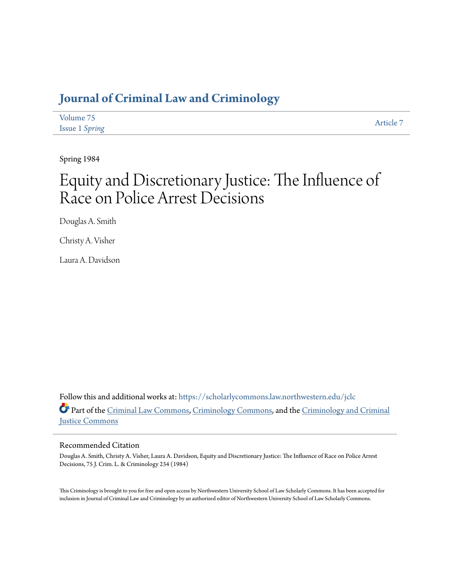# **[Journal of Criminal Law and Criminology](https://scholarlycommons.law.northwestern.edu/jclc?utm_source=scholarlycommons.law.northwestern.edu%2Fjclc%2Fvol75%2Fiss1%2F7&utm_medium=PDF&utm_campaign=PDFCoverPages)**

| Volume 75             | Article 7 |
|-----------------------|-----------|
| <b>Issue 1 Spring</b> |           |

Spring 1984

# Equity and Discretionary Justice: The Influence of Race on Police Arrest Decisions

Douglas A. Smith

Christy A. Visher

Laura A. Davidson

Follow this and additional works at: [https://scholarlycommons.law.northwestern.edu/jclc](https://scholarlycommons.law.northwestern.edu/jclc?utm_source=scholarlycommons.law.northwestern.edu%2Fjclc%2Fvol75%2Fiss1%2F7&utm_medium=PDF&utm_campaign=PDFCoverPages) Part of the [Criminal Law Commons](http://network.bepress.com/hgg/discipline/912?utm_source=scholarlycommons.law.northwestern.edu%2Fjclc%2Fvol75%2Fiss1%2F7&utm_medium=PDF&utm_campaign=PDFCoverPages), [Criminology Commons](http://network.bepress.com/hgg/discipline/417?utm_source=scholarlycommons.law.northwestern.edu%2Fjclc%2Fvol75%2Fiss1%2F7&utm_medium=PDF&utm_campaign=PDFCoverPages), and the [Criminology and Criminal](http://network.bepress.com/hgg/discipline/367?utm_source=scholarlycommons.law.northwestern.edu%2Fjclc%2Fvol75%2Fiss1%2F7&utm_medium=PDF&utm_campaign=PDFCoverPages) [Justice Commons](http://network.bepress.com/hgg/discipline/367?utm_source=scholarlycommons.law.northwestern.edu%2Fjclc%2Fvol75%2Fiss1%2F7&utm_medium=PDF&utm_campaign=PDFCoverPages)

## Recommended Citation

Douglas A. Smith, Christy A. Visher, Laura A. Davidson, Equity and Discretionary Justice: The Influence of Race on Police Arrest Decisions, 75 J. Crim. L. & Criminology 234 (1984)

This Criminology is brought to you for free and open access by Northwestern University School of Law Scholarly Commons. It has been accepted for inclusion in Journal of Criminal Law and Criminology by an authorized editor of Northwestern University School of Law Scholarly Commons.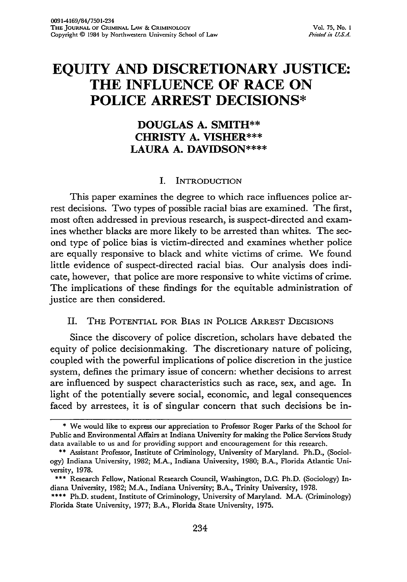# **EQUITY AND DISCRETIONARY JUSTICE: THE INFLUENCE OF RACE ON POLICE ARREST DECISIONS\***

# **DOUGLAS A. SMITH\*\* CHRISTY A. VISHER\*\*\* LAURA A. DAVIDSON\*\*\*\***

## I. INTRODUCTION

This paper examines the degree to which race influences police arrest decisions. Two types of possible racial bias are examined. The first, most often addressed in previous research, is suspect-directed and examines whether blacks are more likely to be arrested than whites. The second type of police bias is victim-directed and examines whether police are equally responsive to black and white victims of crime. We found little evidence of suspect-directed racial bias. Our analysis does indicate, however, that police are more responsive to white victims of crime. The implications of these findings for the equitable administration of justice are then considered.

#### II. THE POTENTIAL FOR BIAS IN POLICE ARREST DECISIONS

Since the discovery of police discretion, scholars have debated the equity of police decisionmaking. The discretionary nature of policing, coupled with the powerful implications of police discretion in the justice system, defines the primary issue of concern: whether decisions to arrest are influenced by suspect characteristics such as race, sex, and age. In light of the potentially severe social, economic, and legal consequences faced by arrestees, it is of singular concern that such decisions be in-

**<sup>\*</sup>** We would like to express our appreciation to Professor Roger Parks of the School for Public and Environmental Affairs at Indiana University for making the Police Services Study data available to us and for providing support and encouragement for this research.

**<sup>\*\*</sup>** Assistant Professor, Institute of Criminology, University of Maryland. Ph.D., (Sociology) Indiana University, **1982;** M.A., Indiana University, **1980;** B.A., Florida Atlantic University, **1978.**

**<sup>\*\*\*</sup>** Research Fellow, National Research Council, Washington, **D.C.** Ph.D. (Sociology) **In**diana University, **1982;** M.A., Indiana University; B.A., Trinity University, **1978.**

**<sup>\*\*\*\*</sup> Ph.D.** student, Institute of Criminology, University of Maryland. M.A. (Criminology) Florida State University, **1977;** B.A., Florida State University, **1975.**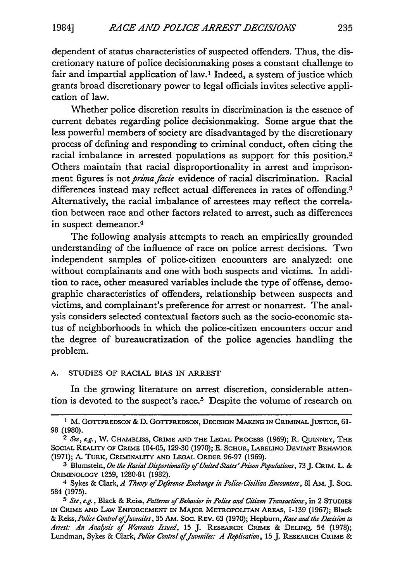1984]

dependent of status characteristics of suspected offenders. Thus, the discretionary nature of police decisionmaking poses a constant challenge to fair and impartial application of law.<sup>1</sup> Indeed, a system of justice which grants broad discretionary power to legal officials invites selective application of law.

Whether police discretion results in discrimination is the essence of current debates regarding police decisionmaking. Some argue that the less powerful members of society are disadvantaged by the discretionary process of defining and responding to criminal conduct, often citing the racial imbalance in arrested populations as support for this position.<sup>2</sup> Others maintain that racial disproportionality in arrest and imprisonment figures is not *prima facie* evidence of racial discrimination. Racial differences instead may reflect actual differences in rates of offending.<sup>3</sup> Alternatively, the racial imbalance of arrestees may reflect the correlation between race and other factors related to arrest, such as differences in suspect demeanor.<sup>4</sup>

The following analysis attempts to reach an empirically grounded understanding of the influence of race on police arrest decisions. Two independent samples of police-citizen encounters are analyzed: one without complainants and one with both suspects and victims. In addition to race, other measured variables include the type of offense, demographic characteristics of offenders, relationship between suspects and victims, and complainant's preference for arrest or nonarrest. The analysis considers selected contextual factors such as the socio-economic status of neighborhoods in which the police-citizen encounters occur and the degree of bureaucratization of the police agencies handling the problem.

#### A. STUDIES OF RACIAL BIAS IN ARREST

In the growing literature on arrest discretion, considerable attention is devoted to the suspect's race.5 Despite the volume of research on

**<sup>1</sup>** M. **GOTTFREDSON** & D. **GOTrFREDSON,** DECISION **MAKING** IN CRIMINAL **JUSTICE,** 61- **98** (1980).

*<sup>2</sup> See, e.g.,* W. CHAMBLISS, CRIME **AND** THE **LEGAL PROCESS** (1969); R. **QUINNEY, THE SOCIAL** REALITY OF CRIME 104-05, 129-30 (1970); **E. SCHUR,** LABELING DEvIANT BEHAVIOR (1971); A. TURK, CRIMINALITY **AND** LEGAL ORDER 96-97 (1969).

**<sup>3</sup>** Blumstein, *On the RacialDisportionali of United States'Prison Populations,* 73 **J. CRIM.** L. & CRIMINOLOGY 1259, 1280-81 (1982).

<sup>4</sup> Sykes & Clark, *A Theory of Deference Exchange in Police-Civilian Encounters,* 81 AM. J. Soc. **584 (1975).**

*<sup>5</sup> See, e.g.,* Black & Reiss, *Pattemr of Behavior in Police and Citizen Transactions,* in 2 **STUDIES** IN CRIME **AND** LAW **ENFORCEMENT IN** MAJOR METROPOLITAN **AREAS,** 1-139 (1967); Black & Reiss, *Police Control ofJuveniles,* 35 AM. Soc. REv. **63** (1970); Hepburn, *Race andthe Decision to Arrest: An Ana~ysis of Warrants Issued,* 15 J. RESEARCH CRIME & **DELINQ.** 54 (1978); Lundman, Sykes & Clark, *Police Control of Juveniles: A Replication*, 15 J. RESEARCH CRIME &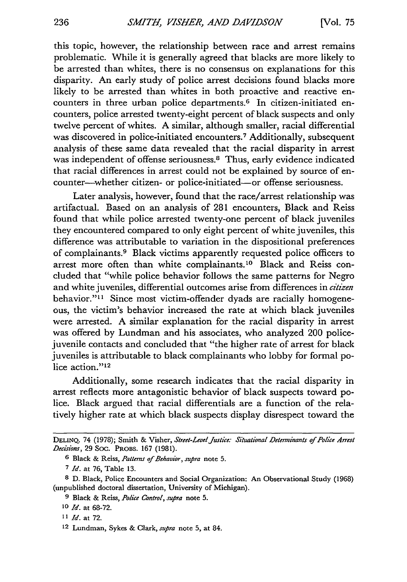this topic, however, the relationship between race and arrest remains problematic. While it is generally agreed that blacks are more likely to be arrested than whites, there is no consensus on explanations for this disparity. An early study of police arrest decisions found blacks more likely to be arrested than whites in both proactive and reactive encounters in three urban police departments.<sup>6</sup> In citizen-initiated encounters, police arrested twenty-eight percent of black suspects and only twelve percent of whites. A similar, although smaller, racial differential was discovered in police-initiated encounters.7 Additionally, subsequent analysis of these same data revealed that the racial disparity in arrest was independent of offense seriousness.<sup>8</sup> Thus, early evidence indicated that racial differences in arrest could not be explained by source of encounter-whether citizen- or police-initiated-or offense seriousness.

Later analysis, however, found that the race/arrest relationship was artifactual. Based on an analysis of 281 encounters, Black and Reiss found that while police arrested twenty-one percent of black juveniles they encountered compared to only eight percent of white juveniles, this difference was attributable to variation in the dispositional preferences of complainants.<sup>9</sup> Black victims apparently requested police officers to arrest more often than white complainants.<sup>10</sup> Black and Reiss concluded that "while police behavior follows the same patterns for Negro and white juveniles, differential outcomes arise from differences in *citizen* behavior."<sup>11</sup> Since most victim-offender dyads are racially homogeneous, the victim's behavior increased the rate at which black juveniles were arrested. A similar explanation for the racial disparity in arrest was offered by Lundman and his associates, who analyzed 200 policejuvenile contacts and concluded that "the higher rate of arrest for black juveniles is attributable to black complainants who lobby for formal police action."<sup>12</sup>

Additionally, some research indicates that the racial disparity in arrest reflects more antagonistic behavior of black suspects toward police. Black argued that racial differentials are a function of the relatively higher rate at which black suspects display disrespect toward the

DELINQ. 74 (1978); Smith & Visher, *Street-Level Justice: Situational Determinants of Police Arrest Decisions,* 29 Soc. PROBS. 167 (1981).

<sup>6</sup> Black & Reiss, *Patterns of Behavior, supra* note 5.

*<sup>7</sup> Id.* at 76, Table 13.

**<sup>8</sup>** D. Black, Police Encounters and Social Organization: An Observational Study (1968) (unpublished doctoral dissertation, University of Michigan).

**<sup>9</sup>** Black & Reiss, *Police Control, supra* note **5.**

*<sup>10</sup> Id.* at 68-72.

**<sup>11</sup>***Id.* at 72.

<sup>12</sup> Lundman, Sykes & Clark, *supra* note 5, at 84.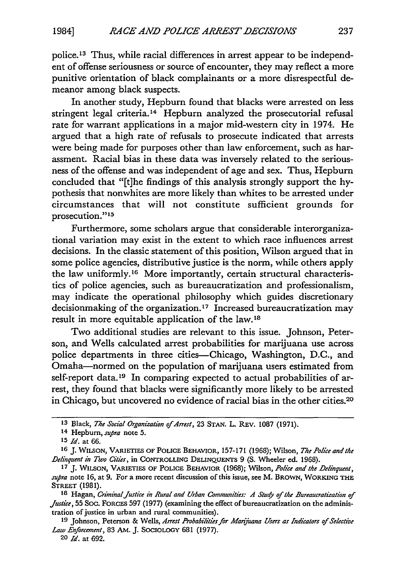police.13 Thus, while racial differences in arrest appear to be independent of offense seriousness or source of encounter, they may reflect a more punitive orientation of black complainants or a more disrespectful demeanor among black suspects.

In another study, Hepburn found that blacks were arrested on less stringent legal criteria. 14 Hepburn analyzed the prosecutorial refusal rate for warrant applications in a major mid-western city in 1974. He argued that a high rate of refusals to prosecute indicated that arrests were being made for purposes other than law enforcement, such as harassment. Racial bias in these data was inversely related to the seriousness of the offense and was independent of age and sex. Thus, Hepburn concluded that "[t]he findings of this analysis strongly support the hypothesis that nonwhites are more likely than whites to be arrested under circumstances that will not constitute sufficient grounds for prosecution."<sup>15</sup>

Furthermore, some scholars argue that considerable interorganizational variation may exist in the extent to which race influences arrest decisions. In the classic statement of this position, Wilson argued that in some police agencies, distributive justice is the norm, while others apply the law uniformly.<sup>16</sup> More importantly, certain structural characteristics of police agencies, such as bureaucratization and professionalism, may indicate the operational philosophy which guides discretionary decisionmaking of the organization. 17 Increased bureaucratization may result in more equitable application of the law.18

Two additional studies are relevant to this issue. Johnson, Peterson, and Wells calculated arrest probabilities for marijuana use across police departments in three cities-Chicago, Washington, D.C., and Omaha-normed on the population of marijuana users estimated from self-report data.<sup>19</sup> In comparing expected to actual probabilities of arrest, they found that blacks were significantly more likely to be arrested in Chicago, but uncovered no evidence of racial bias in the other cities.<sup>20</sup>

**<sup>13</sup>**Black, *The Social Organization of Arrest,* 23 **STAN.** L. REv. 1087 **(1971).**

<sup>14</sup> Hepburn, *supra* note 5.

**<sup>15</sup>***Id.* at **66.**

**<sup>16</sup>J. WILSON, VARIETIES** OF **POLICE** BEHAVIOR, 157-171 (1968); Wilson, *The Police and the Delinquent in Two Cities,* in **CONTROLLING DELINQUENTS** 9 (S. Wheeler ed. 1968).

**<sup>17</sup> J. WILSON,** VARIETIES OF POLICE BEHAVIOR (1968); Wilson, *Police and the Delinquent, supra* note 16, at 9. For a more recent discussion of this issue, see M. BROWN, WORKING THE **STREET** (1981).

**<sup>18</sup>**Hagan, *Criminal Justice in Rural and Urban Communities: A Study of the Bureaucratization of Justice,* 55 Soc. FORCES 597 (1977) (examining the effect of bureaucratization on the administration of justice in urban and rural communities).

**<sup>19</sup>**Johnson, Peterson & Wells, *Arrest Probabilities for Man)iuana Users* as *Indicators of Selective Law Enforcement,* 83 **Am.** J. SOCIOLOGY 681 (1977).

**<sup>20</sup>** *Id.* at 692.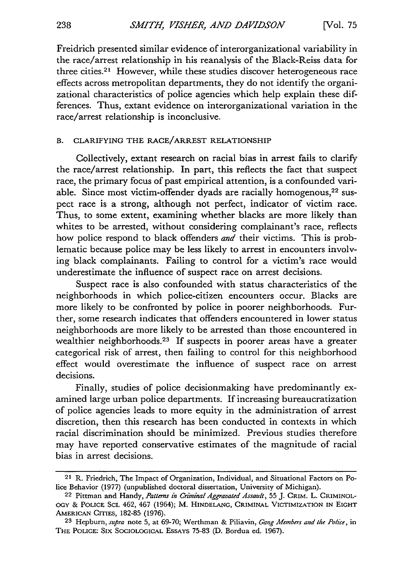Freidrich presented similar evidence of interorganizational variability in the race/arrest relationship in his reanalysis of the Black-Reiss data for three cities.<sup>21</sup> However, while these studies discover heterogeneous race effects across metropolitan departments, they do not identify the organizational characteristics of police agencies which help explain these differences. Thus, extant evidence on interorganizational variation in the race/arrest relationship is inconclusive.

#### B. CLARIFYING THE RACE/ARREST RELATIONSHIP

Collectively, extant research on racial bias in arrest fails to clarify the race/arrest relationship. In part, this reflects the fact that suspect race, the primary focus of past empirical attention, is a confounded variable. Since most victim-offender dyads are racially homogenous,<sup>22</sup> suspect race is a strong, although not perfect, indicator of victim race. Thus, to some extent, examining whether blacks are more likely than whites to be arrested, without considering complainant's race, reflects how police respond to black offenders *and* their victims. This is problematic because police may be less likely to arrest in encounters involving black complainants. Failing to control for a victim's race would underestimate the influence of suspect race on arrest decisions.

Suspect race is also confounded with status characteristics of the neighborhoods in which police-citizen encounters occur. Blacks are more likely to be confronted by police in poorer neighborhoods. Further, some research indicates that offenders encountered in lower status neighborhoods are more likely to be arrested than those encountered in wealthier neighborhoods.<sup>23</sup> If suspects in poorer areas have a greater categorical risk of arrest, then failing to control for this neighborhood effect would overestimate the influence of suspect race on arrest decisions.

Finally, studies of police decisionmaking have predominantly examined large urban police departments. If increasing bureaucratization of police agencies leads to more equity in the administration of arrest discretion, then this research has been conducted in contexts in which racial discrimination should be minimized. Previous studies therefore may have reported conservative estimates of the magnitude of racial bias in arrest decisions.

<sup>21</sup> R. Friedrich, The Impact of Organization, Individual, and Situational Factors on **Po**lice Behavior (1977) (unpublished doctoral dissertation, University of Michigan).

<sup>22</sup> Pittman and Handy, *Pattemrs n Criminal Aggravated Assault,* 55 J. CRIM. L. CRIMINOL-OGY **& POLICE Sci.** 462, 467 (1964); M. **HINDELANG,** CRIMINAL VICTIMIZATION **IN** EIGHT **AMERICAN** CITIES, 182-85 (1976).

**<sup>23</sup>** Hepburn, *supra* note 5, at 69-70; Werthman & Piliavin, *Gang Members and the Police,* in THE POLICE: SIX **SOCIOLOGICAL** ESSAYs 75-83 **(D.** Bordua ed. 1967).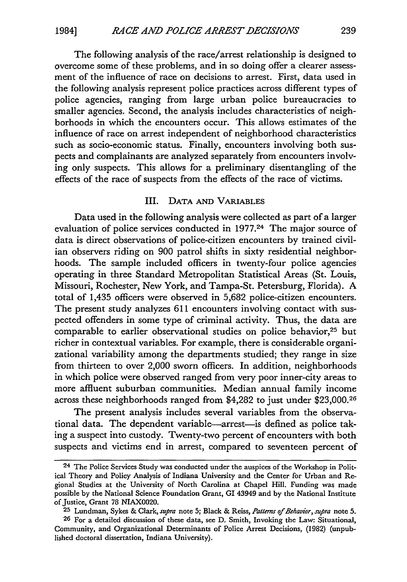The following analysis of the race/arrest relationship is designed to overcome some of these problems, and in so doing offer a clearer assessment of the influence of race on decisions to arrest. First, data used in the following analysis represent police practices across different types of police agencies, ranging from large urban police bureaucracies to smaller agencies. Second, the analysis includes characteristics of neighborhoods in which the encounters occur. This allows estimates of the influence of race on arrest independent of neighborhood characteristics such as socio-economic status. Finally, encounters involving both suspects and complainants are analyzed separately from encounters involving only suspects. This allows for a preliminary disentangling of the effects of the race of suspects from the effects of the race of victims.

#### III. DATA AND VARIABLES

Data used in the following analysis were collected as part of a larger evaluation of police services conducted in 1977.24 The major source of data is direct observations of police-citizen encounters by trained civilian observers riding on 900 patrol shifts in sixty residential neighborhoods. The sample included officers in twenty-four police agencies operating in three Standard Metropolitan Statistical Areas (St. Louis, Missouri, Rochester, New York, and Tampa-St. Petersburg, Florida). A total of 1,435 officers were observed in 5,682 police-citizen encounters. The present study analyzes 611 encounters involving contact with suspected offenders in some type of criminal activity. Thus, the data are comparable to earlier observational studies on police behavior,<sup>25</sup> but richer in contextual variables. For example, there is considerable organizational variability among the departments studied; they range in size from thirteen to over 2,000 sworn officers. In addition, neighborhoods in which police were observed ranged from very poor inner-city areas to more affluent suburban communities. Median annual family income across these neighborhoods ranged from \$4,282 to just under \$23,000.26

The present analysis includes several variables from the observational data. The dependent variable-arrest-is defined as police taking a suspect into custody. Twenty-two percent of encounters with both suspects and victims end in arrest, compared to seventeen percent of

<sup>24</sup> The Police Services Study was conducted under the auspices of the Workshop in Political Theory and Policy Analysis of Indiana University and the Center for Urban and Regional Studies at the University of North Carolina at Chapel Hill. Funding was made possible by the National Science Foundation Grant, GI 43949 and by the National Institute of Justice, Grant 78 **NIAX0020.**

**<sup>25</sup>** Lundman, Sykes & Clark, *supra* note 5; Black & *Reiss, Paltemrs of Behavior, supra* note 5.

**<sup>26</sup>** For a detailed discussion of these data, see **D.** Smith, Invoking the Law: Situational, Community, and Organizational Determinants of Police Arrest Decisions, (1982) (unpublished doctoral dissertation, Indiana University).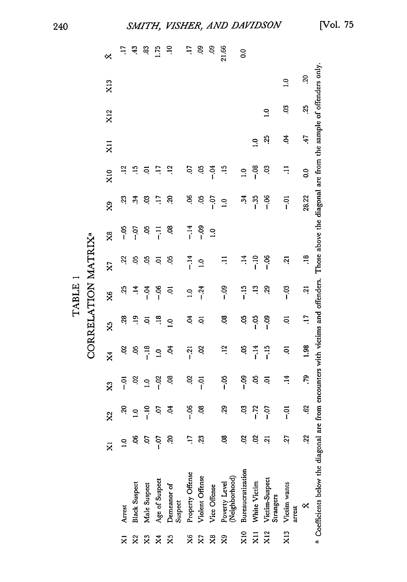|                                 |                                   | $\ddot{\mathsf{x}}$ | $\boldsymbol{\mathsf{x}}$ | $\boldsymbol{\mathsf{x}}$                         | $\overline{\mathbf{x}}$ | X,              | X6              | $\overline{\bf x}$ | $\overline{\mathbf{x}}$ | $\overline{\mathbf{x}}$ | $\overline{\mathbf{x}}$ | $\overline{\mathbf{x}}$ | X12           | X13                                                            | ≪          |
|---------------------------------|-----------------------------------|---------------------|---------------------------|---------------------------------------------------|-------------------------|-----------------|-----------------|--------------------|-------------------------|-------------------------|-------------------------|-------------------------|---------------|----------------------------------------------------------------|------------|
| $\overline{\mathsf{x}}$         | Arrest                            | $\mathbf{r}$        | $\ddot{5}$                | $\overline{a}$                                    | Sc                      | 28              | 35              | š.                 | ೆ.<br>−                 | S,                      |                         |                         |               |                                                                | LT.        |
| $\boldsymbol{\hat{\mathsf{x}}}$ | <b>Black Suspect</b>              | ă.                  | $\Xi$                     | S                                                 | ತ್ತಿ                    | $\ddot{5}$      | $\ddot{=}$      | S.                 | $-0.7$                  | 34                      | $\Xi$                   |                         |               |                                                                | 43         |
| X <sub>3</sub>                  | Male Suspect                      | S                   | $\frac{10}{1}$            | $\ddot{c}$                                        | $-18$                   | ຣຸ              | $-0.4$          | Ş                  | ĉ,                      | $\ddot{\circ}$          | ē                       |                         |               |                                                                | æ.         |
| $\mathsf{x}^4$                  | Age of Suspect                    | $-0$                | $\overline{c}$            | $-02$                                             | $\overline{a}$          | $\frac{18}{16}$ | $-06$           | ຣຸ                 | $\overline{1}$          | $\overline{11}$         | E,                      |                         |               |                                                                | 1.75       |
| $\ddot{x}$                      | Demeanor of<br>Suspect            | $\ddot{5}$          | đ.                        | 80.                                               | Č,                      | $\frac{1}{2}$   | ຣຸ              | ŝ                  | 8                       | Ś                       | $\ddot{5}$              |                         |               |                                                                | $\Xi$      |
| X6                              | Property Offense                  | $\ddot{1}$          | $-06$                     | ອຸ                                                | $-21$                   | Š               | $\ddot{ }$      | $-14$              | $-14$                   | 8.                      | 50.                     |                         |               |                                                                | $\ddot{ }$ |
| X                               | Violent Offense                   | 23                  | 8ġ                        | $\frac{5}{1}$                                     | S                       | Ş               | $-24$           | $\overline{5}$     | $-0.9$                  | S.                      | S.                      |                         |               |                                                                | eo.        |
| x <sub>8</sub>                  | Vice Offense                      |                     |                           |                                                   |                         |                 |                 |                    | $\frac{1}{2}$           | $-0.7$                  | $-0.4$                  |                         |               |                                                                | Sc         |
| $\overline{\mathsf{x}}$         | Poverty Level<br>(Neighborhood)   | ළ                   | 29                        | ី<br>កំ                                           | $\ddot{ }$              | 8Ò.             | $-0.9$          | Ę                  |                         | $\ddot{ }$              | $\frac{15}{2}$          |                         |               |                                                                | 21.66      |
| $\frac{1}{2}$                   | Bureaucratization                 | S.                  | So                        | <u>ვი</u>                                         | දි                      | 8.              | $-15$           | $\frac{4}{1}$      |                         | $\ddot{c}$              | $\frac{0}{1}$           |                         |               |                                                                | $\delta$   |
| $\overline{x}$ 11               | White Victim                      | S.                  | $-72$                     | S                                                 | $-14$                   | ິ່ງ             | $\overline{13}$ | $-10$              |                         | $-35$                   | $\frac{8}{1}$           | $\frac{1}{2}$           |               |                                                                |            |
| X12                             | Victim-Suspect<br>Strangers       | ត្                  | $-57$                     | ē                                                 | $-15$                   | $-0.9$          | 29              | $-06$              |                         | $-06$                   | S                       | $\overline{5}$          | $\frac{1}{2}$ |                                                                |            |
| X13                             | Victim wants<br>arrest            | 27                  | $\overline{5}$            | 14                                                | ວຸ                      | ຣຸ              | ຶ່ງ             | តុ                 |                         | $\frac{1}{2}$           | $\Xi$                   | ð.                      | ິຣ            | $\overline{a}$                                                 |            |
|                                 | Κ                                 | $\mathbb{Z}^2$      | 8                         | <b>PS</b> .                                       | 1.98                    | $\ddot{ }$      | $\ddot{a}$      | $\frac{18}{10}$    |                         | 28.22                   | $\overline{0}$          | 47                      | $\ddot{25}$   | Sc                                                             |            |
|                                 | a Coefficients below the diagonal |                     |                           | I are from encounters with victims and offenders. |                         |                 |                 |                    |                         |                         |                         |                         |               | Those above the diagonal are from the sample of offenders only |            |

TABLE 1<br>CORRELATION MATRIX<sup>a</sup>

240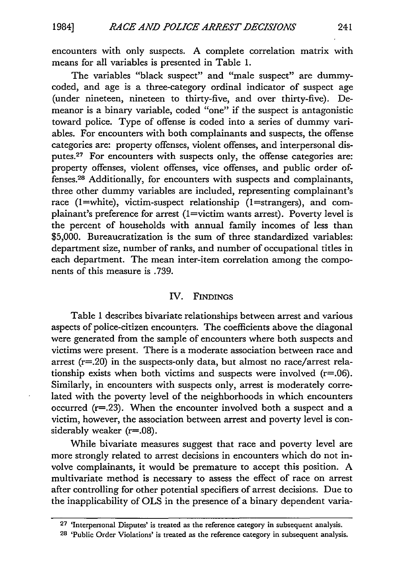encounters with only suspects. A complete correlation matrix with means for all variables is presented in Table 1.

The variables "black suspect" and "male suspect" are dummycoded, and age is a three-category ordinal indicator of suspect age (under nineteen, nineteen to thirty-five, and over thirty-five). Demeanor is a binary variable, coded "one" if the suspect is antagonistic toward police. Type of offense is coded into a series of dummy variables. For encounters with both complainants and suspects, the offense categories are: property offenses, violent offenses, and interpersonal disputes.27 For encounters with suspects only, the offense categories are: property offenses, violent offenses, vice offenses, and public order offenses. 28 Additionally, for encounters with suspects and complainants, three other dummy variables are included, representing complainant's race (1=white), victim-suspect relationship (1=strangers), and complainant's preference for arrest (1=victim wants arrest). Poverty level is the percent of households with annual family incomes of less than \$5,000. Bureaucratization is the sum of three standardized variables: department size, number of ranks, and number of occupational titles in each department. The mean inter-item correlation among the components of this measure is .739.

#### IV. FINDINGS

Table 1 describes bivariate relationships between arrest and various aspects of police-citizen encounters. The coefficients above the diagonal were generated from the sample of encounters where both suspects and victims were present. There is a moderate association between race and arrest  $(r=.20)$  in the suspects-only data, but almost no race/arrest relationship exists when both victims and suspects were involved (r=.06). Similarly, in encounters with suspects only, arrest is moderately correlated with the poverty level of the neighborhoods in which encounters occurred  $(r=.23)$ . When the encounter involved both a suspect and a victim, however, the association between arrest and poverty level is considerably weaker (r=.08).

While bivariate measures suggest that race and poverty level are more strongly related to arrest decisions in encounters which do not involve complainants, it would be premature to accept this position. A multivariate method is necessary to assess the effect of race on arrest after controlling for other potential specifiers of arrest decisions. Due to the inapplicability of OLS in the presence of a binary dependent varia-

**<sup>27</sup>** 'Interpersonal Disputes' is treated as the reference category in subsequent analysis.

**<sup>28</sup>** 'Public Order Violations' is treated as the reference category in subsequent analysis.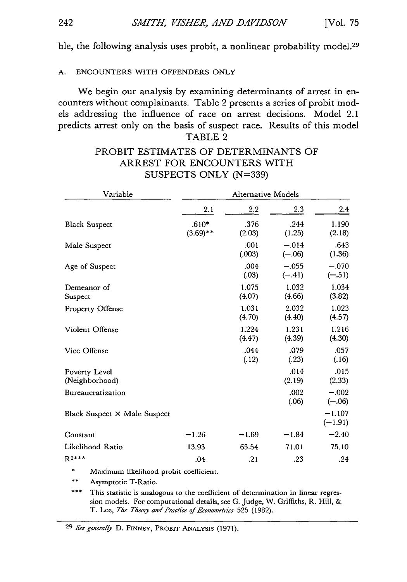ble, the following analysis uses probit, a nonlinear probability model.<sup>29</sup>

#### **A.** ENCOUNTERS WITH OFFENDERS ONLY

We begin our analysis by examining determinants of arrest in encounters without complainants. Table 2 presents a series of probit models addressing the influence of race on arrest decisions. Model 2.1 predicts arrest only on the basis of suspect race. Results of this model TABLE 2

| Variable                        | <b>Alternative Models</b> |                 |                     |                       |  |
|---------------------------------|---------------------------|-----------------|---------------------|-----------------------|--|
|                                 | 2.1                       | 2.2             | 2.3                 | 2.4                   |  |
| <b>Black Suspect</b>            | $.610*$<br>$(3.69)$ **    | .376<br>(2.03)  | .244<br>(1.25)      | 1.190<br>(2.18)       |  |
| Male Suspect                    |                           | .001<br>(.003)  | $-.014$<br>$(-.06)$ | .643<br>(1.36)        |  |
| Age of Suspect                  |                           | .004<br>(.03)   | $-.055$<br>$(-.41)$ | $-.070$<br>$(-.51)$   |  |
| Demeanor of<br>Suspect          |                           | 1.075<br>(4.07) | 1.032<br>(4.66)     | 1.034<br>(3.82)       |  |
| <b>Property Offense</b>         |                           | 1.031<br>(4.70) | 2.032<br>(4.40)     | 1.023<br>(4.57)       |  |
| Violent Offense                 |                           | 1.224<br>(4.47) | 1.231<br>(4.39)     | 1.216<br>(4.30)       |  |
| Vice Offense                    |                           | .044<br>(.12)   | .079<br>(.23)       | .057<br>(.16)         |  |
| Poverty Level<br>(Neighborhood) |                           |                 | .014<br>(2.19)      | .015<br>(2.33)        |  |
| Bureaucratization               |                           |                 | .002<br>(.06)       | $-.002$<br>$(-.06)$   |  |
| Black Suspect × Male Suspect    |                           |                 |                     | $-1.107$<br>$(-1.91)$ |  |
| Constant                        | $-1.26$                   | $-1.69$         | $-1.84$             | $-2.40$               |  |
| Likelihood Ratio                | 13.93                     | 65.54           | 71.01               | 75.10                 |  |
| $R^{2***}$                      | .04                       | .21             | .23                 | .24                   |  |

# PROBIT ESTIMATES OF DETERMINANTS OF ARREST FOR **ENCOUNTERS** WITH SUSPECTS ONLY (N=339)

Maximum likelihood probit coefficient.

Asymptotic T-Ratio.

This statistic is analogous to the coefficient of determination in linear regression models. For computational details, see G. Judge, W. Griffiths, R. Hill, & T. Lee, *The Theory and Practice of Econometrics* 525 (1982).

*29 See generally* D. FINNEY, PROBIT **ANALYSIS** (1971).

242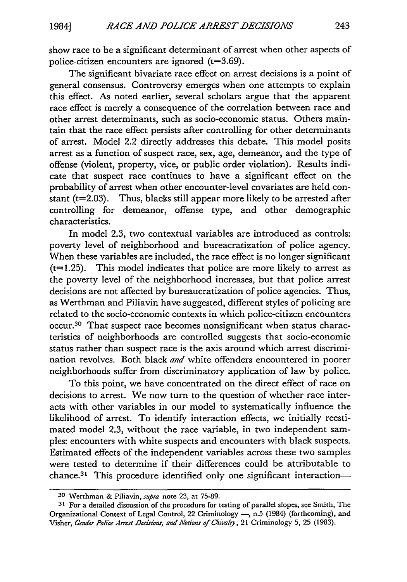show race to be a significant determinant of arrest when other aspects of police-citizen encounters are ignored  $(t=3.69)$ .

The significant bivariate race effect on arrest decisions is a point of general consensus. Controversy emerges when one attempts to explain this effect. As noted earlier, several scholars argue that the apparent race effect is merely a consequence of the correlation between race and other arrest determinants, such as socio-economic status. Others maintain that the race effect persists after controlling for other determinants of arrest. Model 2.2 directly addresses this debate. This model posits arrest as a function of suspect race, sex, age, demeanor, and the type of offense (violent, property, vice, or public order violation). Results indicate that suspect race continues to have a significant effect on the probability of arrest when other encounter-level covariates are held constant ( $t=2.03$ ). Thus, blacks still appear more likely to be arrested after controlling for demeanor, offense type, and other demographic characteristics.

In model 2.3, two contextual variables are introduced as controls: poverty level of neighborhood and bureacratization of police agency. When these variables are included, the race effect is no longer significant  $(t=1.25)$ . This model indicates that police are more likely to arrest as the poverty level of the neighborhood increases, but that police arrest decisions are not affected by bureaucratization of police agencies. Thus, as Werthman and Piliavin have suggested, different styles of policing are related to the socio-economic contexts in which police-citizen encounters occur.30 That suspect race becomes nonsignificant when status characteristics of neighborhoods are controlled suggests that socio-economic status rather than suspect race is the axis around which arrest discrimination revolves. Both black *and* white offenders encountered in poorer neighborhoods suffer from discriminatory application of law by police.

To this point, we have concentrated on the direct effect of race on decisions to arrest. We now turn to the question of whether race interacts with other variables in our model to systematically influence the likelihood of arrest. To identify interaction effects, we initially reestimated model 2.3, without the race variable, in two independent samples: encounters with white suspects and encounters with black suspects. Estimated effects of the independent variables across these two samples were tested to determine if their differences could be attributable to chance.<sup>31</sup> This procedure identified only one significant interaction-

**<sup>30</sup>** Werthman & Piliavin, supra note **23,** at 75-89.

**<sup>31</sup>** For a detailed discussion of the procedure for testing of parallel slopes, see Smith, The Organizational Context of Legal Control, 22 Criminology -, n.5 (1984) (forthcoming), and Visher, *Gender Police Arrest Decisions, and Notions of Chivalry*, 21 Criminology 5, 25 (1983).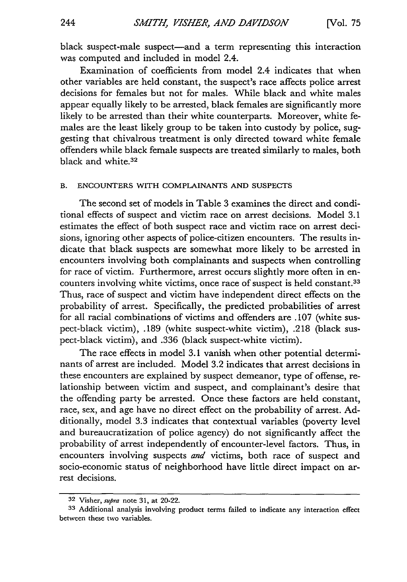black suspect-male suspect-and a term representing this interaction was computed and included in model 2.4.

Examination of coefficients from model 2.4 indicates that when other variables are held constant, the suspect's race affects police arrest decisions for females but not for males. While black and white males appear equally likely to be arrested, black females are significantly more likely to be arrested than their white counterparts. Moreover, white females are the least likely group to be taken into custody by police, suggesting that chivalrous treatment is only directed toward white female offenders while black female suspects are treated similarly to males, both black and white.<sup>32</sup>

#### B. ENCOUNTERS WITH COMPLAINANTS AND SUSPECTS

The second set of models in Table 3 examines the direct and conditional effects of suspect and victim race on arrest decisions. Model 3.1 estimates the effect of both suspect race and victim race on arrest decisions, ignoring other aspects of police-citizen encounters. The results indicate that black suspects are somewhat more likely to be arrested in encounters involving both complainants and suspects when controlling for race of victim. Furthermore, arrest occurs slightly more often in encounters involving white victims, once race of suspect is held constant.33 Thus, race of suspect and victim have independent direct effects on the probability of arrest. Specifically, the predicted probabilities of arrest for all racial combinations of victims and offenders are .107 (white suspect-black victim), .189 (white suspect-white victim), .218 (black suspect-black victim), and .336 (black suspect-white victim).

The race effects in model 3.1 vanish when other potential determinants of arrest are included. Model 3.2 indicates that arrest decisions in these encounters are explained by suspect demeanor, type of offense, relationship between victim and suspect, and complainant's desire that the offending party be arrested. Once these factors are held constant, race, sex, and age have no direct effect on the probability of arrest. Additionally, model 3.3 indicates that contextual variables (poverty level and bureaucratization of police agency) do not significantly affect the probability of arrest independently of encounter-level factors. Thus, in encounters involving suspects *and* victims, both race of suspect and socio-economic status of neighborhood have little direct impact on arrest decisions.

**<sup>32</sup>** Visher, *supra* note 31, at 20-22.

**<sup>33</sup>** Additional analysis involving product terms failed to indicate any interaction effect between these two variables.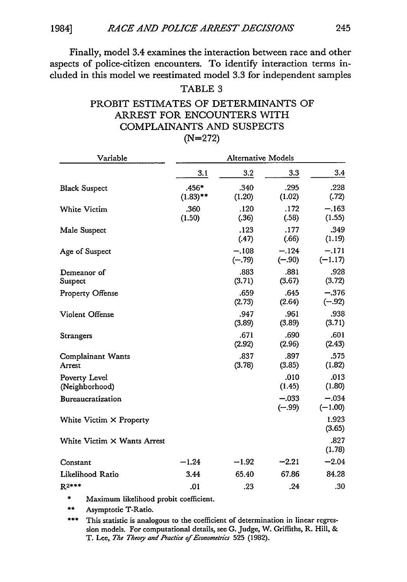Finally, model 3.4 examines the interaction between race and other aspects of police-citizen encounters. To identify interaction terms included in this model we reestimated model 3.3 for independent samples

#### TABLE 3

# PROBIT ESTIMATES OF DETERMINANTS OF ARREST FOR ENCOUNTERS WITH COMPLAINANTS AND SUSPECTS (N=272)

| Variable                           |                      | <b>Alternative Models</b> |                     |                      |  |  |
|------------------------------------|----------------------|---------------------------|---------------------|----------------------|--|--|
|                                    | 3.1                  | 3.2                       | 3.3                 | 3.4                  |  |  |
| <b>Black Suspect</b>               | .456*<br>$(1.83)$ ** | .340<br>(1.20)            | .295<br>(1.02)      | .228<br>(.72)        |  |  |
| White Victim                       | .360<br>(1.50)       | .120<br>(.36)             | .172<br>(.58)       | $-.163$<br>(1.55)    |  |  |
| Male Suspect                       |                      | .123<br>(.47)             | .177<br>(.66)       | .349<br>(1.19)       |  |  |
| Age of Suspect                     |                      | $-.108$<br>$(-.79)$       | $-.124$<br>$(-.90)$ | $-.171$<br>$(-1.17)$ |  |  |
| Demeanor of<br>Suspect             |                      | .883<br>(3.71)            | .881<br>(3.67)      | .928<br>(3.72)       |  |  |
| <b>Property Offense</b>            |                      | .659<br>(2.73)            | .645<br>(2.64)      | $-.376$<br>$(-.92)$  |  |  |
| Violent Offense                    |                      | .947<br>(3.89)            | .961<br>(3.89)      | .938<br>(3.71)       |  |  |
| <b>Strangers</b>                   |                      | .671<br>(2.92)            | .690<br>(2.96)      | .601<br>(2.43)       |  |  |
| Complainant Wants<br>Arrest        |                      | .837<br>(3.78)            | .897<br>(3.85)      | .575<br>(1.82)       |  |  |
| Poverty Level<br>(Neighborhood)    |                      |                           | .010<br>(1.45)      | .013<br>(1.80)       |  |  |
| Bureaucratization                  |                      |                           | $-.033$<br>$(-.99)$ | $-.034$<br>$(-1.00)$ |  |  |
| White Victim $\times$ Property     |                      |                           |                     | 1.923<br>(3.65)      |  |  |
| White Victim $\times$ Wants Arrest |                      |                           |                     | .827<br>(1.78)       |  |  |
| Constant                           | $-1.24$              | $-1.92$                   | $-2.21$             | $-2.04$              |  |  |
| Likelihood Ratio                   | 3.44                 | 65.40                     | 67.86               | 84.28                |  |  |
| $R^{2***}$                         | .01                  | .23                       | .24                 | .30                  |  |  |

Maximum likelihood probit coefficient.

\*\* Asymptotic T-Ratio.

**\*\*\*** This statistic is analogous to the coefficient of determination in linear regression models. For computational details, see **G.** Judge, W. Griffiths, R. Hill, **&** T. Lee, The Theory and Practice of Econometrics 525 (1982).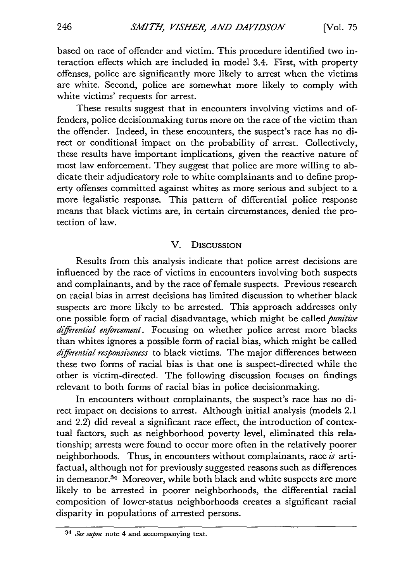based on race of offender and victim. This procedure identified two interaction effects which are included in model 3.4. First, with property offenses, police are significantly more likely to arrest when the victims are white. Second, police are somewhat more likely to comply with white victims' requests for arrest.

These results suggest that in encounters involving victims and offenders, police decisionmaking turns more on the race of the victim than the offender. Indeed, in these encounters, the suspect's race has no direct or conditional impact on the probability of arrest. Collectively, these results have important implications, given the reactive nature of most law enforcement. They suggest that police are more willing to abdicate their adjudicatory role to white complainants and to define property offenses committed against whites as more serious and subject to a more legalistic response. This pattern of differential police response means that black victims are, in certain circumstances, denied the protection of law.

#### V. **DISCUSSION**

Results from this analysis indicate that police arrest decisions are influenced by the race of victims in encounters involving both suspects and complainants, and by the race of female suspects. Previous research on racial bias in arrest decisions has limited discussion to whether black suspects are more likely to be arrested. This approach addresses only one possible form of racial disadvantage, which might be *called punitive difirential enforcement.* Focusing on whether police arrest more blacks than whites ignores a possible form of racial bias, which might be called *diffirential responsiveness* to black victims. The major differences between these two forms of racial bias is that one is suspect-directed while the other is victim-directed. The following discussion focuses on findings relevant to both forms of racial bias in police decisionmaking.

In encounters without complainants, the suspect's race has no direct impact on decisions to arrest. Although initial analysis (models 2.1 and 2.2) did reveal a significant race effect, the introduction of contextual factors, such as neighborhood poverty level, eliminated this relationship; arrests were found to occur more often in the relatively poorer neighborhoods. Thus, in encounters without complainants, race *is* artifactual, although not for previously suggested reasons such as differences in demeanor.<sup>34</sup> Moreover, while both black and white suspects are more likely to be arrested in poorer neighborhoods, the differential racial composition of lower-status neighborhoods creates a significant racial disparity in populations of arrested persons.

*<sup>34</sup> See supra* note 4 and accompanying text.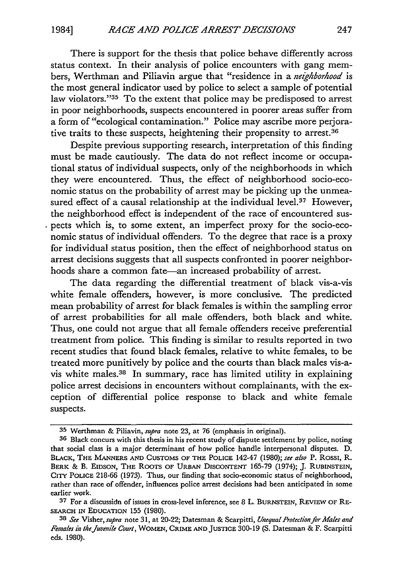There is support for the thesis that police behave differently across status context. In their analysis of police encounters with gang members, Werthman and Piliavin argue that "residence in a *nezhborhood* is the most general indicator used **by** police to select a sample of potential law violators."35 To the extent that police may be predisposed to arrest in poor neighborhoods, suspects encountered in poorer areas suffer from a form of "ecological contamination." Police may ascribe more perjorative traits to these suspects, heightening their propensity to arrest.36

Despite previous supporting research, interpretation of this finding must be made cautiously. The data do not reflect income or occupational status of individual suspects, only of the neighborhoods in which they were encountered. Thus, the effect of neighborhood socio-economic status on the probability of arrest may be picking up the unmeasured effect of a causal relationship at the individual level.<sup>37</sup> However, the neighborhood effect is independent of the race of encountered suspects which is, to some extent, an imperfect proxy for the socio-economic status of individual offenders. To the degree that race is a proxy for individual status position, then the effect of neighborhood status on arrest decisions suggests that all suspects confronted in poorer neighborhoods share a common fate-an increased probability of arrest.

The data regarding the differential treatment of black vis-a-vis white female offenders, however, is more conclusive. The predicted mean probability of arrest for black females is within the sampling error of arrest probabilities for all male offenders, both black and white. Thus, one could not argue that all female offenders receive preferential treatment from police. This finding is similar to results reported in two recent studies that found black females, relative to white females, to be treated more punitively by police and the courts than black males vis-avis white males.38 In summary, race has limited utility in explaining police arrest decisions in encounters without complainants, with the exception of differential police response to black and white female suspects.

**<sup>35</sup>** Werthman & Piliavin, *supra* note **23,** at **76** (emphasis in original).

**<sup>36</sup>** Black concurs with this thesis in his recent study of dispute settlement **by** police, noting that social class is a major determinant of how police handle interpersonal disputes. **D.** BLACK, THE **MANNERS AND CUSTOMS** OF THE **POLICE** 142-47 (1980); *see also* P. Rossi, R. BERK & B. **EIDSON, THE** ROOTS OF **URBAN** DISCONTENT 165-79 (1974); **J. RUBINSTEIN,** CITY **POLICE** 218-66 (1973). Thus, our finding that socio-economic status of neighborhood, rather than race of offender, influences police arrest decisions had been anticipated in some earlier work.

**<sup>37</sup>** For a discussidn of issues in cross-level inference, see 8 L. **BURNSTEIN, REVIEW OF RE-**SEARCH **IN EDUCATION** 155 (1980).

**<sup>38</sup>** *See* Visher, *supra* note **31,** at 20-22; Datesman & Scarpitti, *Unequal Protectionfor Males and Females in the Juvenile Court,* **WOMEN,** CRIME **AND** JUSTICE **300-19 (S.** Datesman **&** F. Scarpitti eds. **1980).**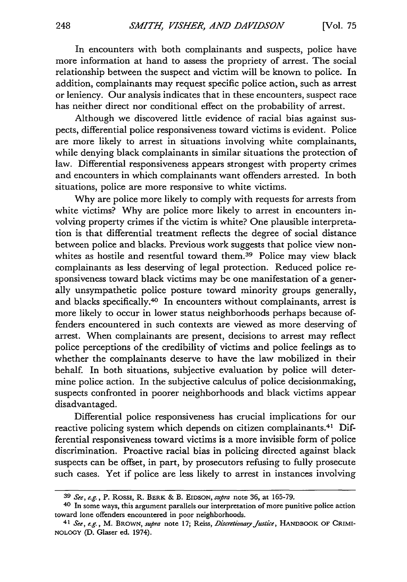In encounters with both complainants and suspects, police have more information at hand to assess the propriety of arrest. The social relationship between the suspect and victim will be known to police. In addition, complainants may request specific police action, such as arrest or leniency. Our analysis indicates that in these encounters, suspect race has neither direct nor conditional effect on the probability of arrest.

Although we discovered little evidence of racial bias against suspects, differential police responsiveness toward victims is evident. Police are more likely to arrest in situations involving white complainants, while denying black complainants in similar situations the protection of law. Differential responsiveness appears strongest with property crimes and encounters in which complainants want offenders arrested. In both situations, police are more responsive to white victims.

Why are police more likely to comply with requests for arrests from white victims? Why are police more likely to arrest in encounters involving property crimes if the victim is white? One plausible interpretation is that differential treatment reflects the degree of social distance between police and blacks. Previous work suggests that police view nonwhites as hostile and resentful toward them.<sup>39</sup> Police may view black complainants as less deserving of legal protection. Reduced police responsiveness toward black victims may be one manifestation of a generally unsympathetic police posture toward minority groups generally, and blacks specifically.<sup>40</sup> In encounters without complainants, arrest is more likely to occur in lower status neighborhoods perhaps because offenders encountered in such contexts are viewed as more deserving of arrest. When complainants are present, decisions to arrest may reflect police perceptions of the credibility of victims and police feelings as to whether the complainants deserve to have the law mobilized in their behalf. In both situations, subjective evaluation by police will determine police action. In the subjective calculus of police decisionmaking, suspects confronted in poorer neighborhoods and black victims appear disadvantaged.

Differential police responsiveness has crucial implications for our reactive policing system which depends on citizen complainants.<sup>41</sup> Differential responsiveness toward victims is a more invisible form of police discrimination. Proactive racial bias in policing directed against black suspects can be offset, in part, by prosecutors refusing to fully prosecute such cases. Yet if police are less likely to arrest in instances involving

**<sup>39</sup>** See, *e.g.,* P. Rossi, R. BFRK **&** B. **EIDSON,** *supra* note 36, at 165-79.

**<sup>40</sup>** In some ways, this argument parallels our interpretation of more punitive police action toward lone offenders encountered in poor neighborhoods.

*<sup>41</sup> See, e.g.,* M. BROWN, supra note 17; Reiss, *DiscretionaqJuslice,* HANDBOOK OF CRIMI-**NOLOGY** (D. Glaser ed. 1974).